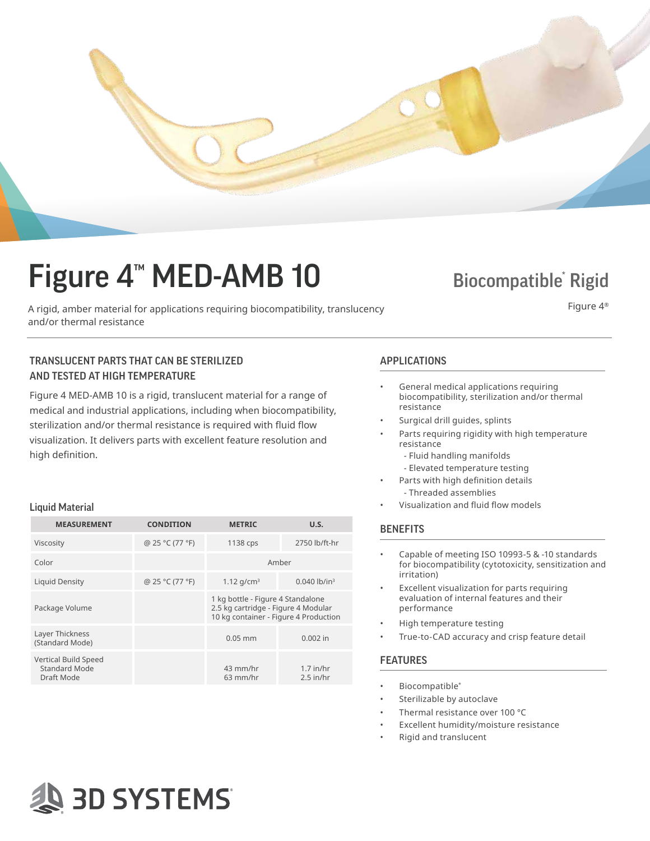

# Figure  $4<sup>™</sup>$  MED-AMB 10

A rigid, amber material for applications requiring biocompatibility, translucency and/or thermal resistance

### **Biocompatible Rigid**

Figure 4®

### TRANSLUCENT PARTS THAT CAN BE STERILIZED APPLICATIONS AND TESTED AT HIGH TEMPERATURE

**AS 3D SYSTEMS** 

Figure 4 MED-AMB 10 is a rigid, translucent material for a range of medical and industrial applications, including when biocompatibility, sterilization and/or thermal resistance is required with fluid flow visualization. It delivers parts with excellent feature resolution and high definition.

#### Liquid Material

| <b>MEASUREMENT</b>                                  | <b>CONDITION</b> | <b>METRIC</b>                                                                                                     | U.S.                       |
|-----------------------------------------------------|------------------|-------------------------------------------------------------------------------------------------------------------|----------------------------|
| Viscosity                                           | @ 25 °C (77 °F)  | 1138 cps                                                                                                          | 2750 lb/ft-hr              |
| Color                                               |                  | Amber                                                                                                             |                            |
| Liquid Density                                      | @ 25 °C (77 °F)  | 1.12 $q/cm^3$                                                                                                     | $0.040$ lb/in <sup>3</sup> |
| Package Volume                                      |                  | 1 kg bottle - Figure 4 Standalone<br>2.5 kg cartridge - Figure 4 Modular<br>10 kg container - Figure 4 Production |                            |
| Layer Thickness<br>(Standard Mode)                  |                  | $0.05$ mm                                                                                                         | $0.002$ in                 |
| Vertical Build Speed<br>Standard Mode<br>Draft Mode |                  | 43 mm/hr<br>$63$ mm/hr                                                                                            | $1.7$ in/hr<br>$2.5$ in/hr |

- General medical applications requiring biocompatibility, sterilization and/or thermal resistance
- Surgical drill guides, splints
- Parts requiring rigidity with high temperature resistance
	- Fluid handling manifolds
	- Elevated temperature testing
- Parts with high definition details - Threaded assemblies
- Visualization and fluid flow models

#### **BENEFITS**

- Capable of meeting ISO 10993-5 & -10 standards for biocompatibility (cytotoxicity, sensitization and irritation)
- Excellent visualization for parts requiring evaluation of internal features and their performance
- High temperature testing
- True-to-CAD accuracy and crisp feature detail

#### FEATURES

- Biocompatible\*
- Sterilizable by autoclave
- Thermal resistance over 100 °C
- Excellent humidity/moisture resistance
- Rigid and translucent